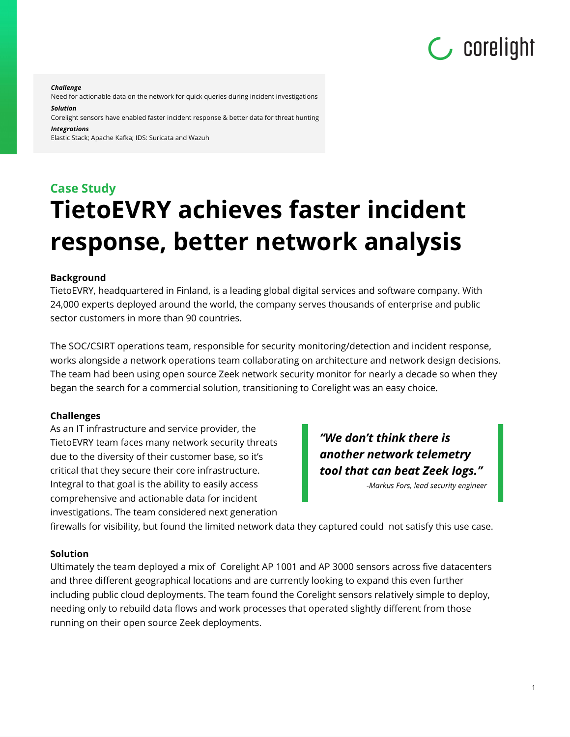# **C** corelight

*Challenge*

Need for actionable data on the network for quick queries during incident investigations *Solution*

Corelight sensors have enabled faster incident response & better data for threat hunting *Integrations*

Elastic Stack; Apache Kafka; IDS: Suricata and Wazuh

## **Case Study TietoEVRY achieves faster incident response, better network analysis**

#### **Background**

TietoEVRY, headquartered in Finland, is a leading global digital services and software company. With 24,000 experts deployed around the world, the company serves thousands of enterprise and public sector customers in more than 90 countries.

The SOC/CSIRT operations team, responsible for security monitoring/detection and incident response, works alongside a network operations team collaborating on architecture and network design decisions. The team had been using open source Zeek network security monitor for nearly a decade so when they began the search for a commercial solution, transitioning to Corelight was an easy choice.

#### **Challenges**

As an IT infrastructure and service provider, the TietoEVRY team faces many network security threats due to the diversity of their customer base, so it's critical that they secure their core infrastructure. Integral to that goal is the ability to easily access comprehensive and actionable data for incident investigations. The team considered next generation

"We don't think there is another network telemetry tool that can beat Zeek logs."

-Markus Fors, lead security engineer

firewalls for visibility, but found the limited network data they captured could not satisfy this use case.

#### **Solution**

Ultimately the team deployed a mix of Corelight AP 1001 and AP 3000 sensors across five datacenters and three different geographical locations and are currently looking to expand this even further including public cloud deployments. The team found the Corelight sensors relatively simple to deploy, needing only to rebuild data flows and work processes that operated slightly different from those running on their open source Zeek deployments.